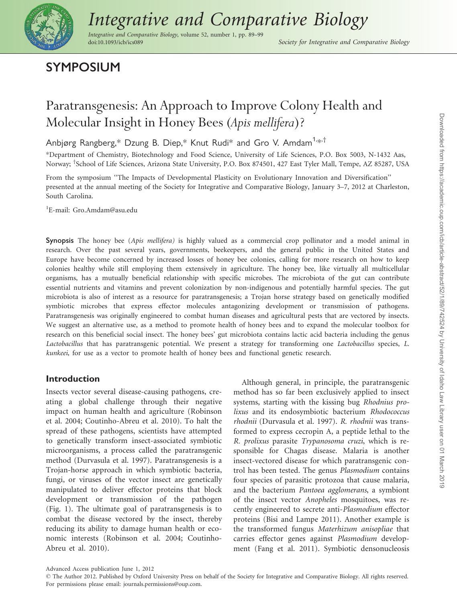

# Integrative and Comparative Biology

Integrative and Comparative Biology, volume 52, number 1, pp. 89–99 doi:10.1093/icb/ics089 Society for Integrative and Comparative Biology

# SYMPOSIUM

# Paratransgenesis: An Approach to Improve Colony Health and Molecular Insight in Honey Bees (Apis mellifera)?

Anbjørg Rangberg,\* Dzung B. Diep,\* Knut Rudi\* and Gro V. Amdam<sup>1,\*,†</sup>

\*Department of Chemistry, Biotechnology and Food Science, University of Life Sciences, P.O. Box 5003, N-1432 Aas, Norway; † School of Life Sciences, Arizona State University, P.O. Box 874501, 427 East Tyler Mall, Tempe, AZ 85287, USA

From the symposium ''The Impacts of Developmental Plasticity on Evolutionary Innovation and Diversification'' presented at the annual meeting of the Society for Integrative and Comparative Biology, January 3–7, 2012 at Charleston, South Carolina.

1 E-mail: Gro.Amdam@asu.edu

Synopsis The honey bee (Apis mellifera) is highly valued as a commercial crop pollinator and a model animal in research. Over the past several years, governments, beekeepers, and the general public in the United States and Europe have become concerned by increased losses of honey bee colonies, calling for more research on how to keep colonies healthy while still employing them extensively in agriculture. The honey bee, like virtually all multicellular organisms, has a mutually beneficial relationship with specific microbes. The microbiota of the gut can contribute essential nutrients and vitamins and prevent colonization by non-indigenous and potentially harmful species. The gut microbiota is also of interest as a resource for paratransgenesis; a Trojan horse strategy based on genetically modified symbiotic microbes that express effector molecules antagonizing development or transmission of pathogens. Paratransgenesis was originally engineered to combat human diseases and agricultural pests that are vectored by insects. We suggest an alternative use, as a method to promote health of honey bees and to expand the molecular toolbox for research on this beneficial social insect. The honey bees' gut microbiota contains lactic acid bacteria including the genus Lactobacillus that has paratransgenic potential. We present a strategy for transforming one Lactobacillus species, L. kunkeei, for use as a vector to promote health of honey bees and functional genetic research.

# Introduction

Insects vector several disease-causing pathogens, creating a global challenge through their negative impact on human health and agriculture ([Robinson](#page-10-0) [et al. 2004;](#page-10-0) [Coutinho-Abreu et al. 2010\)](#page-9-0). To halt the spread of these pathogens, scientists have attempted to genetically transform insect-associated symbiotic microorganisms, a process called the paratransgenic method [\(Durvasula et al. 1997](#page-9-0)). Paratransgenesis is a Trojan-horse approach in which symbiotic bacteria, fungi, or viruses of the vector insect are genetically manipulated to deliver effector proteins that block development or transmission of the pathogen ([Fig. 1\)](#page-1-0). The ultimate goal of paratransgenesis is to combat the disease vectored by the insect, thereby reducing its ability to damage human health or economic interests [\(Robinson et al. 2004](#page-10-0); [Coutinho-](#page-9-0)[Abreu et al. 2010\)](#page-9-0).

Although general, in principle, the paratransgenic method has so far been exclusively applied to insect systems, starting with the kissing bug Rhodnius prolixus and its endosymbiotic bacterium Rhodococcus rhodnii ([Durvasula et al. 1997](#page-9-0)). R. rhodnii was transformed to express cecropin A, a peptide lethal to the R. prolixus parasite Trypanosoma cruzi, which is responsible for Chagas disease. Malaria is another insect-vectored disease for which paratransgenic control has been tested. The genus Plasmodium contains four species of parasitic protozoa that cause malaria, and the bacterium Pantoea agglomerans, a symbiont of the insect vector Anopheles mosquitoes, was recently engineered to secrete anti-Plasmodium effector proteins ([Bisi and Lampe 2011](#page-9-0)). Another example is the transformed fungus Materhizum anisopliae that carries effector genes against Plasmodium development ([Fang et al. 2011](#page-9-0)). Symbiotic densonucleosis

<sup>-</sup> The Author 2012. Published by Oxford University Press on behalf of the Society for Integrative and Comparative Biology. All rights reserved. For permissions please email: journals.permissions@oup.com.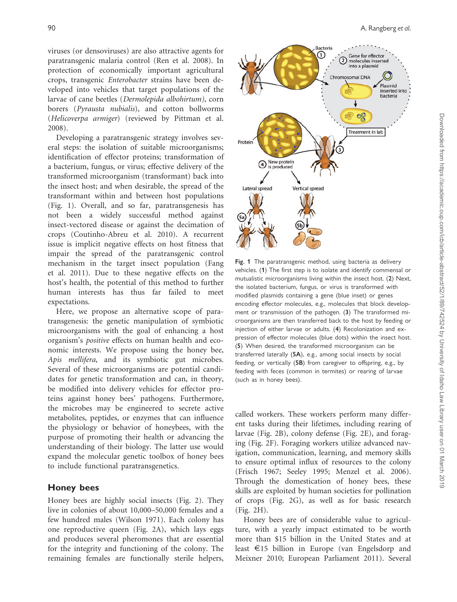<span id="page-1-0"></span>viruses (or densoviruses) are also attractive agents for paratransgenic malaria control [\(Ren et al. 2008\)](#page-10-0). In protection of economically important agricultural crops, transgenic Enterobacter strains have been developed into vehicles that target populations of the larvae of cane beetles (Dermolepida albohirtum), corn borers (Pyrausta nubialis), and cotton bollworms (Helicoverpa armiger) (reviewed by [Pittman et al.](#page-9-0) [2008](#page-9-0)).

Developing a paratransgenic strategy involves several steps: the isolation of suitable microorganisms; identification of effector proteins; transformation of a bacterium, fungus, or virus; effective delivery of the transformed microorganism (transformant) back into the insect host; and when desirable, the spread of the transformant within and between host populations (Fig. 1). Overall, and so far, paratransgenesis has not been a widely successful method against insect-vectored disease or against the decimation of crops ([Coutinho-Abreu et al. 2010\)](#page-9-0). A recurrent issue is implicit negative effects on host fitness that impair the spread of the paratransgenic control mechanism in the target insect population [\(Fang](#page-9-0) [et al. 2011](#page-9-0)). Due to these negative effects on the host's health, the potential of this method to further human interests has thus far failed to meet expectations.

Here, we propose an alternative scope of paratransgenesis: the genetic manipulation of symbiotic microorganisms with the goal of enhancing a host organism's positive effects on human health and economic interests. We propose using the honey bee, Apis mellifera, and its symbiotic gut microbes. Several of these microorganisms are potential candidates for genetic transformation and can, in theory, be modified into delivery vehicles for effector proteins against honey bees' pathogens. Furthermore, the microbes may be engineered to secrete active metabolites, peptides, or enzymes that can influence the physiology or behavior of honeybees, with the purpose of promoting their health or advancing the understanding of their biology. The latter use would expand the molecular genetic toolbox of honey bees to include functional paratransgenetics.

## Honey bees

Honey bees are highly social insects ([Fig. 2](#page-2-0)). They live in colonies of about 10,000–50,000 females and a few hundred males ([Wilson 1971\)](#page-10-0). Each colony has one reproductive queen ([Fig. 2A](#page-2-0)), which lays eggs and produces several pheromones that are essential for the integrity and functioning of the colony. The remaining females are functionally sterile helpers,



Fig. 1 The paratransgenic method, using bacteria as delivery vehicles. (1) The first step is to isolate and identify commensal or mutualistic microorganisms living within the insect host. (2) Next, the isolated bacterium, fungus, or virus is transformed with modified plasmids containing a gene (blue inset) or genes encoding effector molecules, e.g., molecules that block development or transmission of the pathogen. (3) The transformed microorganisms are then transferred back to the host by feeding or injection of either larvae or adults. (4) Recolonization and expression of effector molecules (blue dots) within the insect host. (5) When desired, the transformed microorganism can be transferred laterally (5A), e.g., among social insects by social feeding, or vertically (5B) from caregiver to offspring, e.g., by feeding with feces (common in termites) or rearing of larvae (such as in honey bees).

called workers. These workers perform many different tasks during their lifetimes, including rearing of larvae [\(Fig. 2](#page-2-0)B), colony defense [\(Fig. 2](#page-2-0)E), and foraging [\(Fig. 2](#page-2-0)F). Foraging workers utilize advanced navigation, communication, learning, and memory skills to ensure optimal influx of resources to the colony ([Frisch 1967;](#page-9-0) [Seeley 1995](#page-10-0); [Menzel et al. 2006\)](#page-9-0). Through the domestication of honey bees, these skills are exploited by human societies for pollination of crops ([Fig. 2G](#page-2-0)), as well as for basic research ([Fig. 2](#page-2-0)H).

Honey bees are of considerable value to agriculture, with a yearly impact estimated to be worth more than \$15 billion in the United States and at least E15 billion in Europe ([van Engelsdorp and](#page-10-0) [Meixner 2010;](#page-10-0) [European Parliament 2011\)](#page-9-0). Several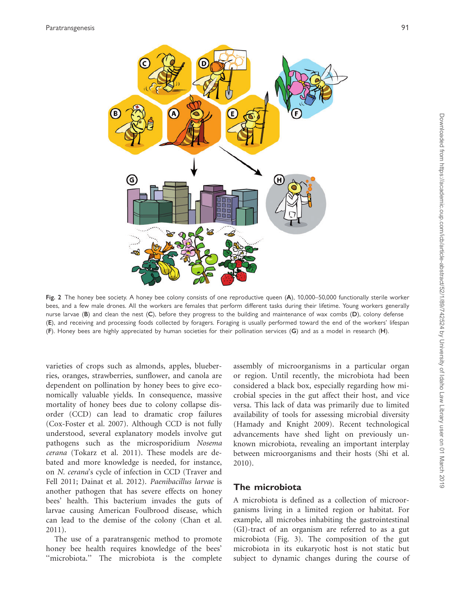<span id="page-2-0"></span>

Fig. 2 The honey bee society. A honey bee colony consists of one reproductive queen (A), 10,000-50,000 functionally sterile worker bees, and a few male drones. All the workers are females that perform different tasks during their lifetime. Young workers generally nurse larvae (B) and clean the nest (C), before they progress to the building and maintenance of wax combs (D), colony defense (E), and receiving and processing foods collected by foragers. Foraging is usually performed toward the end of the workers' lifespan (F). Honey bees are highly appreciated by human societies for their pollination services (G) and as a model in research (H).

varieties of crops such as almonds, apples, blueberries, oranges, strawberries, sunflower, and canola are dependent on pollination by honey bees to give economically valuable yields. In consequence, massive mortality of honey bees due to colony collapse disorder (CCD) can lead to dramatic crop failures ([Cox-Foster et al. 2007\)](#page-9-0). Although CCD is not fully understood, several explanatory models involve gut pathogens such as the microsporidium Nosema cerana [\(Tokarz et al. 2011](#page-10-0)). These models are debated and more knowledge is needed, for instance, on N. cerana's cycle of infection in CCD ([Traver and](#page-10-0) [Fell 2011;](#page-10-0) [Dainat et al. 2012](#page-9-0)). Paenibacillus larvae is another pathogen that has severe effects on honey bees' health. This bacterium invades the guts of larvae causing American Foulbrood disease, which can lead to the demise of the colony [\(Chan et al.](#page-9-0) [2011\)](#page-9-0).

The use of a paratransgenic method to promote honey bee health requires knowledge of the bees' "microbiota." The microbiota is the complete assembly of microorganisms in a particular organ or region. Until recently, the microbiota had been considered a black box, especially regarding how microbial species in the gut affect their host, and vice versa. This lack of data was primarily due to limited availability of tools for assessing microbial diversity [\(Hamady and Knight 2009\)](#page-9-0). Recent technological advancements have shed light on previously unknown microbiota, revealing an important interplay between microorganisms and their hosts ([Shi et al.](#page-10-0) [2010](#page-10-0)).

### The microbiota

A microbiota is defined as a collection of microorganisms living in a limited region or habitat. For example, all microbes inhabiting the gastrointestinal (GI)-tract of an organism are referred to as a gut microbiota [\(Fig. 3\)](#page-3-0). The composition of the gut microbiota in its eukaryotic host is not static but subject to dynamic changes during the course of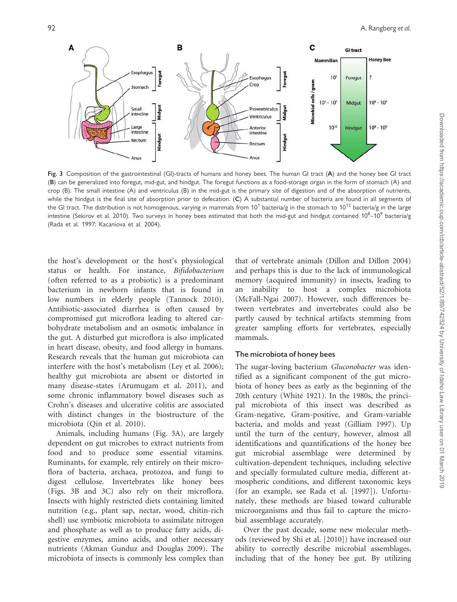<span id="page-3-0"></span>

Fig. 3 Composition of the gastrointestinal (GI)-tracts of humans and honey bees. The human GI tract (A) and the honey bee GI tract (B) can be generalized into foregut, mid-gut, and hindgut. The foregut functions as a food-storage organ in the form of stomach (A) and crop (B). The small intestine (A) and ventriculus (B) in the mid-gut is the primary site of digestion and of the absorption of nutrients, while the hindgut is the final site of absorption prior to defecation. (C) A substantial number of bacteria are found in all segments of the GI tract. The distribution is not homogenous, varying in mammals from  $10^1$  bacteria/g in the stomach to  $10^{12}$  bacteria/g in the large intestine [\(Sekirov et al. 2010\)](#page-10-0). Two surveys in honey bees estimated that both the mid-gut and hindgut contained 10<sup>8</sup>–10<sup>9</sup> bacteria/g ([Rada et al. 1997; Kacaniova et al. 2004\)](#page-9-0).

the host's development or the host's physiological status or health. For instance, Bifidobacterium (often referred to as a probiotic) is a predominant bacterium in newborn infants that is found in low numbers in elderly people ([Tannock 2010](#page-10-0)). Antibiotic-associated diarrhea is often caused by compromised gut microflora leading to altered carbohydrate metabolism and an osmotic imbalance in the gut. A disturbed gut microflora is also implicated in heart disease, obesity, and food allergy in humans. Research reveals that the human gut microbiota can interfere with the host's metabolism ([Ley et al. 2006](#page-9-0)); healthy gut microbiota are absent or distorted in many disease-states ([Arumugam et al. 2011](#page-8-0)), and some chronic inflammatory bowel diseases such as Crohn's diseases and ulcerative colitis are associated with distinct changes in the biostructure of the microbiota ([Qin et al. 2010\)](#page-9-0).

Animals, including humans (Fig. 3A), are largely dependent on gut microbes to extract nutrients from food and to produce some essential vitamins. Ruminants, for example, rely entirely on their microflora of bacteria, archaea, protozoa, and fungi to digest cellulose. Invertebrates like honey bees (Figs. 3B and 3C) also rely on their microflora. Insects with highly restricted diets containing limited nutrition (e.g., plant sap, nectar, wood, chitin-rich shell) use symbiotic microbiota to assimilate nitrogen and phosphate as well as to produce fatty acids, digestive enzymes, amino acids, and other necessary nutrients [\(Akman Gunduz and Douglas 2009](#page-8-0)). The microbiota of insects is commonly less complex than

that of vertebrate animals [\(Dillon and Dillon 2004](#page-9-0)) and perhaps this is due to the lack of immunological memory (acquired immunity) in insects, leading to an inability to host a complex microbiota ([McFall-Ngai 2007\)](#page-9-0). However, such differences between vertebrates and invertebrates could also be partly caused by technical artifacts stemming from greater sampling efforts for vertebrates, especially mammals.

#### The microbiota of honey bees

The sugar-loving bacterium Gluconobacter was identified as a significant component of the gut microbiota of honey bees as early as the beginning of the 20th century [\(White 1921\)](#page-10-0). In the 1980s, the principal microbiota of this insect was described as Gram-negative, Gram-positive, and Gram-variable bacteria, and molds and yeast ([Gilliam 1997\)](#page-9-0). Up until the turn of the century, however, almost all identifications and quantifications of the honey bee gut microbial assemblage were determined by cultivation-dependent techniques, including selective and specially formulated culture media, different atmospheric conditions, and different taxonomic keys (for an example, see [Rada et al. \[1997\]](#page-9-0)). Unfortunately, these methods are biased toward culturable microorganisms and thus fail to capture the microbial assemblage accurately.

Over the past decade, some new molecular methods (reviewed by [Shi et al. \[2010\]](#page-10-0)) have increased our ability to correctly describe microbial assemblages, including that of the honey bee gut. By utilizing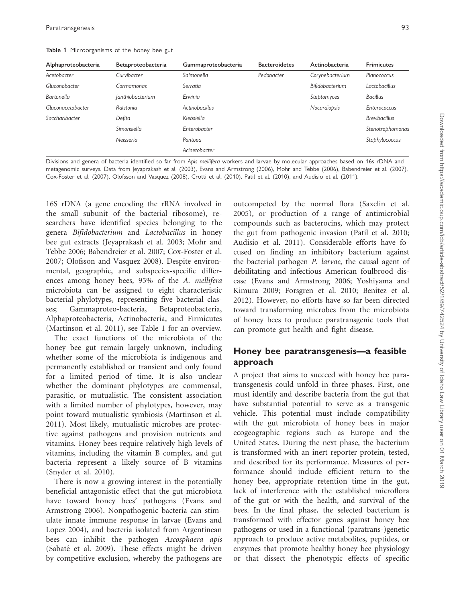Table 1 Microorganisms of the honey bee gut

| Alphaproteobacteria | Betaproteobacteria      | Gammaproteobacteria   | <b>Bacteroidetes</b> | Actinobacteria  | <b>Frimicutes</b>    |
|---------------------|-------------------------|-----------------------|----------------------|-----------------|----------------------|
| Acetobacter         | Curvibacter             | Salmonella            | Pedobacter           | Corynebacterium | Planococcus          |
| Gluconobacter       | Cormamonas              | Serratia              |                      | Bifidobacterium | Lactobacillus        |
| Bartonella          | <i>lanthiobacterium</i> | Erwinia               |                      | Steptomyces     | <b>Bacillus</b>      |
| Gluconacetobacter   | Ralstonia               | <b>Actinobacillus</b> |                      | Nocardiopsis    | Enterococcus         |
| Saccharibacter      | Defita                  | Klebsiella            |                      |                 | <b>Brevibacillus</b> |
|                     | Simonsiella             | Enterobacter          |                      |                 | Stenotrophomonas     |
|                     | Neisseria               | Pantoea               |                      |                 | Staphylococcus       |
|                     |                         | Acinetobacter         |                      |                 |                      |

Divisions and genera of bacteria identified so far from Apis mellifera workers and larvae by molecular approaches based on 16s rDNA and metagenomic surveys. Data from [Jeyaprakash et al. \(2003\)](#page-9-0), [Evans and Armstrong \(2006\), Mohr and Tebbe \(2006\),](#page-9-0) [Babendreier et al. \(2007\)](#page-8-0), [Cox-Foster et al. \(2007\)](#page-9-0), [Olofsson and Vasquez \(2008\), Crotti et al. \(2010\)](#page-9-0), [Patil et al. \(2010\)](#page-9-0), and [Audisio et al. \(2011\).](#page-8-0)

16S rDNA (a gene encoding the rRNA involved in the small subunit of the bacterial ribosome), researchers have identified species belonging to the genera Bifidobacterium and Lactobacillus in honey bee gut extracts ([Jeyaprakash et al. 2003](#page-9-0); [Mohr and](#page-9-0) [Tebbe 2006;](#page-9-0) [Babendreier et al. 2007](#page-8-0); [Cox-Foster et al.](#page-9-0) [2007; Olofsson and Vasquez 2008](#page-9-0)). Despite environmental, geographic, and subspecies-specific differences among honey bees, 95% of the A. mellifera microbiota can be assigned to eight characteristic bacterial phylotypes, representing five bacterial classes; Gammaproteo-bacteria, Betaproteobacteria, Alphaproteobacteria, Actinobacteria, and Firmicutes ([Martinson et al. 2011](#page-9-0)), see Table 1 for an overview.

The exact functions of the microbiota of the honey bee gut remain largely unknown, including whether some of the microbiota is indigenous and permanently established or transient and only found for a limited period of time. It is also unclear whether the dominant phylotypes are commensal, parasitic, or mutualistic. The consistent association with a limited number of phylotypes, however, may point toward mutualistic symbiosis [\(Martinson et al.](#page-9-0) [2011\)](#page-9-0). Most likely, mutualistic microbes are protective against pathogens and provision nutrients and vitamins. Honey bees require relatively high levels of vitamins, including the vitamin B complex, and gut bacteria represent a likely source of B vitamins ([Snyder et al. 2010\)](#page-10-0).

There is now a growing interest in the potentially beneficial antagonistic effect that the gut microbiota have toward honey bees' pathogens [\(Evans and](#page-9-0) [Armstrong 2006\)](#page-9-0). Nonpathogenic bacteria can stimulate innate immune response in larvae ([Evans and](#page-9-0) [Lopez 2004\)](#page-9-0), and bacteria isolated from Argentinean bees can inhibit the pathogen Ascosphaera apis (Sabaté [et al. 2009\)](#page-10-0). These effects might be driven by competitive exclusion, whereby the pathogens are outcompeted by the normal flora ([Saxelin et al.](#page-10-0) [2005](#page-10-0)), or production of a range of antimicrobial compounds such as bacterocins, which may protect the gut from pathogenic invasion [\(Patil et al. 2010;](#page-9-0) [Audisio et al. 2011](#page-8-0)). Considerable efforts have focused on finding an inhibitory bacterium against the bacterial pathogen P. larvae, the causal agent of debilitating and infectious American foulbrood disease [\(Evans and Armstrong 2006](#page-9-0); [Yoshiyama and](#page-10-0) [Kimura 2009;](#page-10-0) [Forsgren et al. 2010](#page-9-0); [Benitez et al.](#page-8-0) [2012](#page-8-0)). However, no efforts have so far been directed toward transforming microbes from the microbiota of honey bees to produce paratransgenic tools that can promote gut health and fight disease.

# Honey bee paratransgenesis—a feasible approach

A project that aims to succeed with honey bee paratransgenesis could unfold in three phases. First, one must identify and describe bacteria from the gut that have substantial potential to serve as a transgenic vehicle. This potential must include compatibility with the gut microbiota of honey bees in major ecogeographic regions such as Europe and the United States. During the next phase, the bacterium is transformed with an inert reporter protein, tested, and described for its performance. Measures of performance should include efficient return to the honey bee, appropriate retention time in the gut, lack of interference with the established microflora of the gut or with the health, and survival of the bees. In the final phase, the selected bacterium is transformed with effector genes against honey bee pathogens or used in a functional (paratrans-)genetic approach to produce active metabolites, peptides, or enzymes that promote healthy honey bee physiology or that dissect the phenotypic effects of specific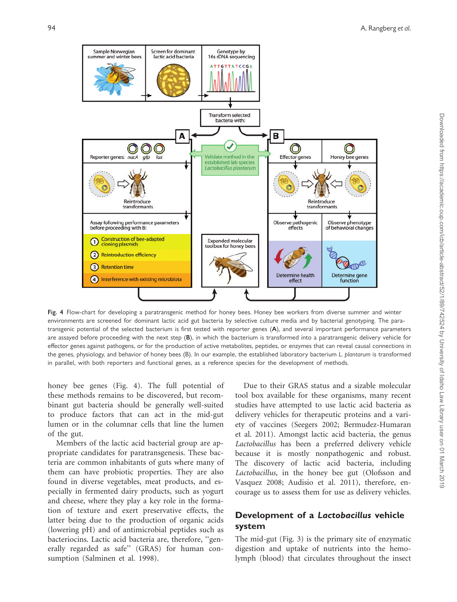<span id="page-5-0"></span>

Fig. 4 Flow-chart for developing a paratransgenic method for honey bees. Honey bee workers from diverse summer and winter environments are screened for dominant lactic acid gut bacteria by selective culture media and by bacterial genotyping. The paratransgenic potential of the selected bacterium is first tested with reporter genes  $(A)$ , and several important performance parameters are assayed before proceeding with the next step  $(B)$ , in which the bacterium is transformed into a paratransgenic delivery vehicle for effector genes against pathogens, or for the production of active metabolites, peptides, or enzymes that can reveal causal connections in the genes, physiology, and behavior of honey bees (B). In our example, the established laboratory bacterium L. plantarum is transformed in parallel, with both reporters and functional genes, as a reference species for the development of methods.

honey bee genes (Fig. 4). The full potential of these methods remains to be discovered, but recombinant gut bacteria should be generally well-suited to produce factors that can act in the mid-gut lumen or in the columnar cells that line the lumen of the gut.

Members of the lactic acid bacterial group are appropriate candidates for paratransgenesis. These bacteria are common inhabitants of guts where many of them can have probiotic properties. They are also found in diverse vegetables, meat products, and especially in fermented dairy products, such as yogurt and cheese, where they play a key role in the formation of texture and exert preservative effects, the latter being due to the production of organic acids (lowering pH) and of antimicrobial peptides such as bacteriocins. Lactic acid bacteria are, therefore, ''generally regarded as safe'' (GRAS) for human consumption ([Salminen et al. 1998](#page-10-0)).

Due to their GRAS status and a sizable molecular tool box available for these organisms, many recent studies have attempted to use lactic acid bacteria as delivery vehicles for therapeutic proteins and a variety of vaccines [\(Seegers 2002;](#page-10-0) [Bermudez-Humaran](#page-8-0) [et al. 2011\)](#page-8-0). Amongst lactic acid bacteria, the genus Lactobacillus has been a preferred delivery vehicle because it is mostly nonpathogenic and robust. The discovery of lactic acid bacteria, including Lactobacillus, in the honey bee gut [\(Olofsson and](#page-9-0) [Vasquez 2008](#page-9-0); [Audisio et al. 2011](#page-8-0)), therefore, encourage us to assess them for use as delivery vehicles.

# Development of a Lactobacillus vehicle system

The mid-gut [\(Fig. 3](#page-3-0)) is the primary site of enzymatic digestion and uptake of nutrients into the hemolymph (blood) that circulates throughout the insect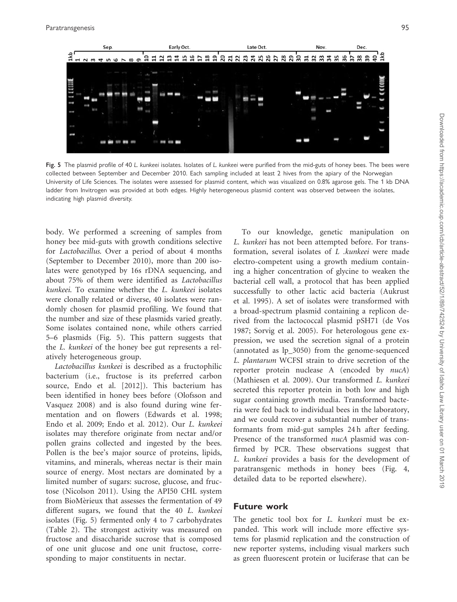

Fig. 5 The plasmid profile of 40 L. kunkeei isolates. Isolates of L. kunkeei were purified from the mid-guts of honey bees. The bees were collected between September and December 2010. Each sampling included at least 2 hives from the apiary of the Norwegian University of Life Sciences. The isolates were assessed for plasmid content, which was visualized on 0.8% agarose gels. The 1 kb DNA ladder from Invitrogen was provided at both edges. Highly heterogeneous plasmid content was observed between the isolates, indicating high plasmid diversity.

body. We performed a screening of samples from honey bee mid-guts with growth conditions selective for Lactobacillus. Over a period of about 4 months (September to December 2010), more than 200 isolates were genotyped by 16s rDNA sequencing, and about 75% of them were identified as Lactobacillus kunkeei. To examine whether the L. kunkeei isolates were clonally related or diverse, 40 isolates were randomly chosen for plasmid profiling. We found that the number and size of these plasmids varied greatly. Some isolates contained none, while others carried 5–6 plasmids (Fig. 5). This pattern suggests that the L. kunkeei of the honey bee gut represents a relatively heterogeneous group.

Lactobacillus kunkeei is described as a fructophilic bacterium (i.e., fructose is its preferred carbon source, [Endo et al. \[2012\]\)](#page-9-0). This bacterium has been identified in honey bees before [\(Olofsson and](#page-9-0) [Vasquez 2008\)](#page-9-0) and is also found during wine fermentation and on flowers ([Edwards et al. 1998;](#page-9-0) [Endo et al. 2009; Endo et al. 2012](#page-9-0)). Our L. kunkeei isolates may therefore originate from nectar and/or pollen grains collected and ingested by the bees. Pollen is the bee's major source of proteins, lipids, vitamins, and minerals, whereas nectar is their main source of energy. Most nectars are dominated by a limited number of sugars: sucrose, glucose, and fructose ([Nicolson 2011](#page-9-0)). Using the API50 CHL system from BioMèrieux that assesses the fermentation of 49 different sugars, we found that the 40 L. kunkeei isolates (Fig. 5) fermented only 4 to 7 carbohydrates ([Table 2](#page-7-0)). The strongest activity was measured on fructose and disaccharide sucrose that is composed of one unit glucose and one unit fructose, corresponding to major constituents in nectar.

To our knowledge, genetic manipulation on L. kunkeei has not been attempted before. For transformation, several isolates of L .kunkeei were made electro-competent using a growth medium containing a higher concentration of glycine to weaken the bacterial cell wall, a protocol that has been applied successfully to other lactic acid bacteria [\(Aukrust](#page-8-0) [et al. 1995](#page-8-0)). A set of isolates were transformed with a broad-spectrum plasmid containing a replicon derived from the lactococcal plasmid pSH71 ([de Vos](#page-9-0) [1987](#page-9-0); [Sorvig et al. 2005](#page-10-0)). For heterologous gene expression, we used the secretion signal of a protein (annotated as lp\_3050) from the genome-sequenced L. plantarum WCFSI strain to drive secretion of the reporter protein nuclease A (encoded by nucA) [\(Mathiesen et al. 2009\)](#page-9-0). Our transformed L. kunkeei secreted this reporter protein in both low and high sugar containing growth media. Transformed bacteria were fed back to individual bees in the laboratory, and we could recover a substantial number of transformants from mid-gut samples 24 h after feeding. Presence of the transformed nucA plasmid was confirmed by PCR. These observations suggest that L. kunkeei provides a basis for the development of paratransgenic methods in honey bees [\(Fig. 4,](#page-5-0) detailed data to be reported elsewhere).

## Future work

The genetic tool box for L. kunkeei must be expanded. This work will include more effective systems for plasmid replication and the construction of new reporter systems, including visual markers such as green fluorescent protein or luciferase that can be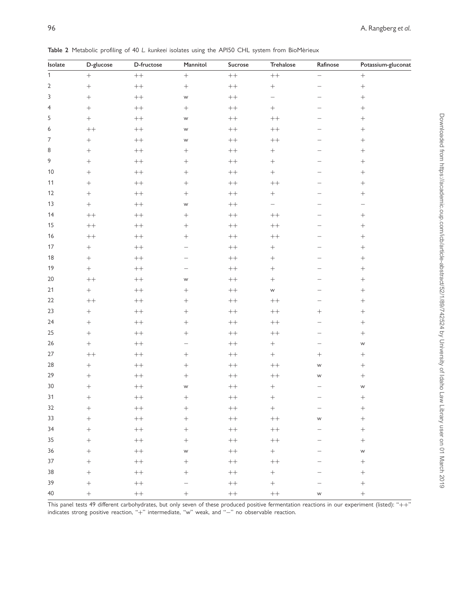| Isolate        | D-glucose         | D-fructose        | Mannitol                 | Sucrose           | Trehalose                                                                             | Rafinose                 | Potassium-gluconat |
|----------------|-------------------|-------------------|--------------------------|-------------------|---------------------------------------------------------------------------------------|--------------------------|--------------------|
| $\mathbf{1}$   | $\boldsymbol{+}$  | $^{++}\,$         | $\boldsymbol{+}$         | $\boldsymbol{++}$ | $++$                                                                                  | $\overline{\phantom{0}}$ | $\boldsymbol{+}$   |
| $\mathbf{2}$   | $\! + \!$         | $\boldsymbol{++}$ | $\boldsymbol{+}$         | $\boldsymbol{++}$ | $\boldsymbol{+}$                                                                      | $\qquad \qquad -$        | $\boldsymbol{+}$   |
| 3              | $\qquad \qquad +$ | $^{++}\,$         | ${\sf W}$                | $\boldsymbol{++}$ | $\qquad \qquad -$                                                                     |                          | $\boldsymbol{+}$   |
| $\overline{4}$ | $\ddag$           | $^{++}\,$         | $\boldsymbol{+}$         | $\boldsymbol{++}$ | $\boldsymbol{+}$                                                                      |                          | $^{+}$             |
| 5              | $\qquad \qquad +$ | $^{++}\,$         | W                        | $\boldsymbol{++}$ | $\boldsymbol{++}$                                                                     |                          | $\boldsymbol{+}$   |
| 6              | $\boldsymbol{++}$ | $\boldsymbol{++}$ | W                        | $\boldsymbol{++}$ | $^{++}\,$                                                                             |                          | $\boldsymbol{+}$   |
| 7              | $\! + \!$         | $^{++}\,$         | ${\sf W}$                | $\boldsymbol{++}$ | $\boldsymbol{++}$                                                                     |                          | $\boldsymbol{+}$   |
| 8              | $\qquad \qquad +$ | $^{++}\,$         | $\boldsymbol{+}$         | $\boldsymbol{++}$ | $\boldsymbol{+}$                                                                      |                          | $\boldsymbol{+}$   |
| 9              | $\qquad \qquad +$ | $^{++}\,$         | $\boldsymbol{+}$         | $\boldsymbol{++}$ | $\boldsymbol{+}$                                                                      |                          | $\boldsymbol{+}$   |
| 10             | $\! + \!$         | $^{++}\,$         | $\boldsymbol{+}$         | $\boldsymbol{++}$ | $\boldsymbol{+}$                                                                      |                          | $\boldsymbol{+}$   |
| 11             | $\ddag$           | $^{++}\,$         | $+$                      | $\boldsymbol{++}$ | $++$                                                                                  |                          | $^{+}$             |
| 12             | $\ddag$           | $^{++}\,$         |                          | $\boldsymbol{++}$ | $\boldsymbol{+}$                                                                      |                          | $^{+}$             |
| 13             |                   | $^{++}\,$         | ${\sf W}$                | $\boldsymbol{++}$ | $\qquad \qquad -$                                                                     |                          |                    |
| 14             | $\boldsymbol{++}$ | $^{++}\,$         | $\boldsymbol{+}$         | $\boldsymbol{++}$ | $^{++}$                                                                               |                          | $\boldsymbol{+}$   |
| 15             | $++$              | $^{++}\,$         | $\boldsymbol{+}$         | $\boldsymbol{++}$ | $^{++}\,$                                                                             |                          | $+$                |
| 16             | $\boldsymbol{++}$ | $\boldsymbol{++}$ | $\boldsymbol{+}$         | $\boldsymbol{++}$ | $^{++}\,$                                                                             |                          | $\boldsymbol{+}$   |
| 17             | $\! + \!$         | $^{++}\,$         | $\overline{\phantom{0}}$ | $++$              | $\boldsymbol{+}$                                                                      |                          | $^+$               |
| 18             | $\ddag$           | $^{++}\,$         |                          | $\boldsymbol{++}$ | $\boldsymbol{+}$                                                                      |                          | $^{+}$             |
| 19             | $\boldsymbol{+}$  | $\boldsymbol{++}$ | $\overline{\phantom{0}}$ | $\boldsymbol{++}$ | $\boldsymbol{+}$                                                                      |                          | $\boldsymbol{+}$   |
| 20             | $\boldsymbol{++}$ | $\boldsymbol{++}$ | ${\sf W}$                | $\boldsymbol{++}$ | $\boldsymbol{+}$                                                                      |                          | $\boldsymbol{+}$   |
| $21$           | $\boldsymbol{+}$  | $^{++}\,$         |                          | $\boldsymbol{++}$ | $\mathsf{W}% _{T}=\mathsf{W}_{T}\!\left( a,b\right) ,\ \mathsf{W}_{T}=\mathsf{W}_{T}$ |                          | $\boldsymbol{+}$   |
| 22             | $\boldsymbol{++}$ | $^{++}\,$         | $\boldsymbol{+}$         | $\boldsymbol{++}$ | $^{++}\,$                                                                             | $\overline{\phantom{0}}$ | $\boldsymbol{+}$   |
| 23             | $\! + \!$         | $^{++}\,$         | $^+$                     | $\boldsymbol{++}$ | $\boldsymbol{++}$                                                                     | $^+$                     | $^+$               |
| 24             |                   | $^{++}\,$         |                          | $\boldsymbol{++}$ | $^{++}$                                                                               |                          | $+$                |
| 25             | $\ddag$           | $\boldsymbol{++}$ | $\boldsymbol{+}$         | $\boldsymbol{++}$ | $\boldsymbol{++}$                                                                     |                          | $+$                |
| 26             | $\qquad \qquad +$ | $\boldsymbol{++}$ | $\qquad \qquad -$        | $\boldsymbol{++}$ | $\boldsymbol{+}$                                                                      | $\qquad \qquad -$        | W                  |
| 27             | $\boldsymbol{++}$ | $\boldsymbol{++}$ | $\boldsymbol{+}$         | $\boldsymbol{++}$ | $\boldsymbol{+}$                                                                      | $^{+}$                   | $\qquad \qquad +$  |
| 28             | $\qquad \qquad +$ | $\boldsymbol{++}$ |                          | $\boldsymbol{++}$ | $\boldsymbol{++}$                                                                     | ${\sf W}$                | $\boldsymbol{+}$   |
| 29             | $\qquad \qquad +$ | $^{++}\,$         | $\boldsymbol{+}$         | $\boldsymbol{++}$ | $^{++}\,$                                                                             | ${\sf W}$                | $^{+}$             |
| 30             |                   | $\boldsymbol{++}$ | W                        | $\boldsymbol{++}$ | $\boldsymbol{+}$                                                                      |                          | W                  |
| 31             |                   | $\boldsymbol{++}$ | $\boldsymbol{+}$         | $\boldsymbol{++}$ | $\boldsymbol{+}$                                                                      |                          | $\boldsymbol{+}$   |
| 32             |                   | $\boldsymbol{++}$ |                          | $\boldsymbol{++}$ | $\boldsymbol{+}$                                                                      |                          |                    |
| 33             |                   | $\boldsymbol{++}$ |                          | $\boldsymbol{++}$ | $\boldsymbol{++}$                                                                     | W                        |                    |
| 34             |                   | $\boldsymbol{++}$ | $^{+}$                   | $\boldsymbol{++}$ | $\boldsymbol{++}$                                                                     |                          |                    |
| 35             |                   | $\boldsymbol{++}$ | $^{+}$                   | $\boldsymbol{++}$ | $++$                                                                                  |                          | $\boldsymbol{+}$   |
| 36             | $\boldsymbol{+}$  | $\boldsymbol{++}$ | W                        | $\boldsymbol{++}$ | $\boldsymbol{+}$                                                                      |                          | W                  |
| 37             |                   | $\boldsymbol{++}$ |                          | $\boldsymbol{++}$ | $\boldsymbol{++}$                                                                     |                          | $\boldsymbol{+}$   |
| 38             | $^{+}$            | $\boldsymbol{++}$ | $^{+}$                   | $\boldsymbol{++}$ | $\boldsymbol{+}$                                                                      |                          | $^{+}$             |
| 39             |                   | $^{++}\,$         |                          | $\boldsymbol{++}$ | $^+$                                                                                  |                          |                    |
| 40             | $^{+}$            | $++$              | $\hspace{0.1mm} +$       | $++$              | $++$                                                                                  | W                        | $^+$               |

<span id="page-7-0"></span>Table 2 Metabolic profiling of 40 L. kunkeei isolates using the API50 CHL system from BioMèrieux

This panel tests 49 different carbohydrates, but only seven of these produced positive fermentation reactions in our experiment (listed): "++" indicates strong positive reaction, "+" intermediate, "w" weak, and "-" no observable reaction.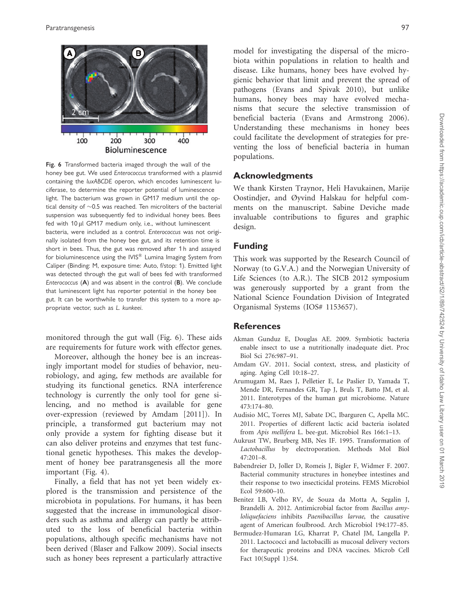<span id="page-8-0"></span>

Fig. 6 Transformed bacteria imaged through the wall of the honey bee gut. We used Enterococcus transformed with a plasmid containing the luxABCDE operon, which encodes luminescent luciferase, to determine the reporter potential of luminescence light. The bacterium was grown in GM17 medium until the optical density of  $\sim$  0.5 was reached. Ten microliters of the bacterial suspension was subsequently fed to individual honey bees. Bees fed with 10 µl GM17 medium only, i.e., without luminescent bacteria, were included as a control. Enterococcus was not originally isolated from the honey bee gut, and its retention time is short in bees. Thus, the gut was removed after 1 h and assayed for bioluminescence using the IVIS $^{\circledR}$  Lumina Imaging System from Caliper (Binding: M, exposure time: Auto, f/stop: 1). Emitted light was detected through the gut wall of bees fed with transformed Enterococcus  $(A)$  and was absent in the control  $(B)$ . We conclude that luminescent light has reporter potential in the honey bee gut. It can be worthwhile to transfer this system to a more appropriate vector, such as L. kunkeei.

monitored through the gut wall (Fig. 6). These aids are requirements for future work with effector genes.

Moreover, although the honey bee is an increasingly important model for studies of behavior, neurobiology, and aging, few methods are available for studying its functional genetics. RNA interference technology is currently the only tool for gene silencing, and no method is available for gene over-expression (reviewed by Amdam [2011]). In principle, a transformed gut bacterium may not only provide a system for fighting disease but it can also deliver proteins and enzymes that test functional genetic hypotheses. This makes the development of honey bee paratransgenesis all the more important ([Fig. 4](#page-5-0)).

Finally, a field that has not yet been widely explored is the transmission and persistence of the microbiota in populations. For humans, it has been suggested that the increase in immunological disorders such as asthma and allergy can partly be attributed to the loss of beneficial bacteria within populations, although specific mechanisms have not been derived [\(Blaser and Falkow 2009\)](#page-9-0). Social insects such as honey bees represent a particularly attractive model for investigating the dispersal of the microbiota within populations in relation to health and disease. Like humans, honey bees have evolved hygienic behavior that limit and prevent the spread of pathogens ([Evans and Spivak 2010](#page-9-0)), but unlike humans, honey bees may have evolved mechanisms that secure the selective transmission of beneficial bacteria ([Evans and Armstrong 2006\)](#page-9-0). Understanding these mechanisms in honey bees could facilitate the development of strategies for preventing the loss of beneficial bacteria in human populations.

### Acknowledgments

We thank Kirsten Traynor, Heli Havukainen, Marije Oostindjer, and Øyvind Halskau for helpful comments on the manuscript. Sabine Deviche made invaluable contributions to figures and graphic design.

# Funding

This work was supported by the Research Council of Norway (to G.V.A.) and the Norwegian University of Life Sciences (to A.R.). The SICB 2012 symposium was generously supported by a grant from the National Science Foundation Division of Integrated Organismal Systems (IOS# 1153657).

#### **References**

- Akman Gunduz E, Douglas AE. 2009. Symbiotic bacteria enable insect to use a nutritionally inadequate diet. Proc Biol Sci 276:987–91.
- Amdam GV. 2011. Social context, stress, and plasticity of aging. Aging Cell 10:18–27.
- Arumugam M, Raes J, Pelletier E, Le Paslier D, Yamada T, Mende DR, Fernandes GR, Tap J, Bruls T, Batto JM, et al. 2011. Enterotypes of the human gut microbiome. Nature 473:174–80.
- Audisio MC, Torres MJ, Sabate DC, Ibarguren C, Apella MC. 2011. Properties of different lactic acid bacteria isolated from Apis mellifera L. bee-gut. Microbiol Res 166:1–13.
- Aukrust TW, Brurberg MB, Nes IF. 1995. Transformation of Lactobacillus by electroporation. Methods Mol Biol 47:201–8.
- Babendreier D, Joller D, Romeis J, Bigler F, Widmer F. 2007. Bacterial community structures in honeybee intestines and their response to two insecticidal proteins. FEMS Microbiol Ecol 59:600–10.
- Benitez LB, Velho RV, de Souza da Motta A, Segalin J, Brandelli A. 2012. Antimicrobial factor from Bacillus amyloliquefaciens inhibits Paenibacillus larvae, the causative agent of American foulbrood. Arch Microbiol 194:177–85.
- Bermudez-Humaran LG, Kharrat P, Chatel JM, Langella P. 2011. Lactococci and lactobacilli as mucosal delivery vectors for therapeutic proteins and DNA vaccines. Microb Cell Fact 10(Suppl 1):S4.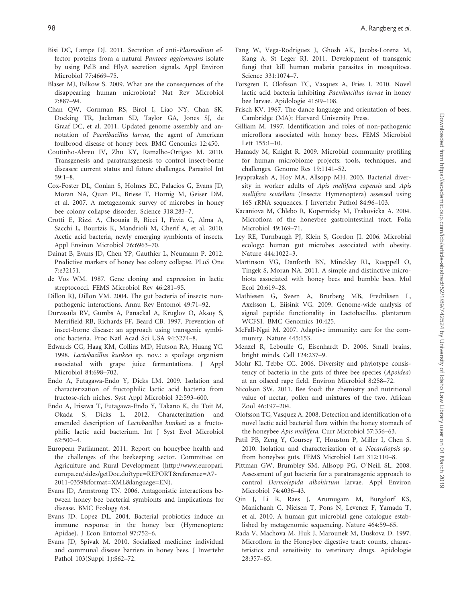- <span id="page-9-0"></span>Bisi DC, Lampe DJ. 2011. Secretion of anti-Plasmodium effector proteins from a natural Pantoea agglomerans isolate by using PelB and HlyA secretion signals. Appl Environ Microbiol 77:4669–75.
- Blaser MJ, Falkow S. 2009. What are the consequences of the disappearing human microbiota? Nat Rev Microbiol 7:887–94.
- Chan QW, Cornman RS, Birol I, Liao NY, Chan SK, Docking TR, Jackman SD, Taylor GA, Jones SJ, de Graaf DC, et al. 2011. Updated genome assembly and annotation of Paenibacillus larvae, the agent of American foulbrood disease of honey bees. BMC Genomics 12:450.
- Coutinho-Abreu IV, Zhu KY, Ramalho-Ortigao M. 2010. Transgenesis and paratransgenesis to control insect-borne diseases: current status and future challenges. Parasitol Int 59:1–8.
- Cox-Foster DL, Conlan S, Holmes EC, Palacios G, Evans JD, Moran NA, Quan PL, Briese T, Hornig M, Geiser DM, et al. 2007. A metagenomic survey of microbes in honey bee colony collapse disorder. Science 318:283–7.
- Crotti E, Rizzi A, Chouaia B, Ricci I, Favia G, Alma A, Sacchi L, Bourtzis K, Mandrioli M, Cherif A, et al. 2010. Acetic acid bacteria, newly emerging symbionts of insects. Appl Environ Microbiol 76:6963–70.
- Dainat B, Evans JD, Chen YP, Gauthier L, Neumann P. 2012. Predictive markers of honey bee colony collapse. PLoS One 7:e32151.
- de Vos WM. 1987. Gene cloning and expression in lactic streptococci. FEMS Microbiol Rev 46:281–95.
- Dillon RJ, Dillon VM. 2004. The gut bacteria of insects: nonpathogenic interactions. Annu Rev Entomol 49:71–92.
- Durvasula RV, Gumbs A, Panackal A, Kruglov O, Aksoy S, Merrifield RB, Richards FF, Beard CB. 1997. Prevention of insect-borne disease: an approach using transgenic symbiotic bacteria. Proc Natl Acad Sci USA 94:3274–8.
- Edwards CG, Haag KM, Collins MD, Hutson RA, Huang YC. 1998. Lactobacillus kunkeei sp. nov.: a spoilage organism associated with grape juice fermentations. J Appl Microbiol 84:698–702.
- Endo A, Futagawa-Endo Y, Dicks LM. 2009. Isolation and characterization of fructophilic lactic acid bacteria from fructose-rich niches. Syst Appl Microbiol 32:593–600.
- Endo A, Irisawa T, Futagawa-Endo Y, Takano K, du Toit M, Okada S, Dicks L. 2012. Characterization and emended description of Lactobacillus kunkeei as a fructophilic lactic acid bacterium. Int J Syst Evol Microbiol 62:500–4.
- European Parliament. 2011. Report on honeybee health and the challenges of the beekeeping sector. Committee on Agriculture and Rural Development (http://www.europarl. europa.eu/sides/getDoc.do?type=REPORT&reference=A7- 2011-0359&format=XML&language=EN).
- Evans JD, Armstrong TN. 2006. Antagonistic interactions between honey bee bacterial symbionts and implications for disease. BMC Ecology 6:4.
- Evans JD, Lopez DL. 2004. Bacterial probiotics induce an immune response in the honey bee (Hymenoptera: Apidae). J Econ Entomol 97:752–6.
- Evans JD, Spivak M. 2010. Socialized medicine: individual and communal disease barriers in honey bees. J Invertebr Pathol 103(Suppl 1):S62–72.
- Fang W, Vega-Rodriguez J, Ghosh AK, Jacobs-Lorena M, Kang A, St Leger RJ. 2011. Development of transgenic fungi that kill human malaria parasites in mosquitoes. Science 331:1074–7.
- Forsgren E, Olofsson TC, Vasquez A, Fries I. 2010. Novel lactic acid bacteria inhibiting Paenibacillus larvae in honey bee larvae. Apidologie 41:99–108.
- Frisch KV. 1967. The dance language and orientation of bees. Cambridge (MA): Harvard University Press.
- Gilliam M. 1997. Identification and roles of non-pathogenic microflora associated with honey bees. FEMS Microbiol Lett 155:1–10.
- Hamady M, Knight R. 2009. Microbial community profiling for human microbiome projects: tools, techniques, and challenges. Genome Res 19:1141–52.
- Jeyaprakash A, Hoy MA, Allsopp MH. 2003. Bacterial diversity in worker adults of Apis mellifera capensis and Apis mellifera scutellata (Insecta: Hymenoptera) assessed using 16S rRNA sequences. J Invertebr Pathol 84:96–103.
- Kacaniova M, Chlebo R, Kopernicky M, Trakovicka A. 2004. Microflora of the honeybee gastrointestinal tract. Folia Microbiol 49:169–71.
- Ley RE, Turnbaugh PJ, Klein S, Gordon JI. 2006. Microbial ecology: human gut microbes associated with obesity. Nature 444:1022–3.
- Martinson VG, Danforth BN, Minckley RL, Rueppell O, Tingek S, Moran NA. 2011. A simple and distinctive microbiota associated with honey bees and bumble bees. Mol Ecol 20:619–28.
- Mathiesen G, Sveen A, Brurberg MB, Fredriksen L, Axelsson L, Eijsink VG. 2009. Genome-wide analysis of signal peptide functionality in Lactobacillus plantarum WCFS1. BMC Genomics 10:425.
- McFall-Ngai M. 2007. Adaptive immunity: care for the community. Nature 445:153.
- Menzel R, Leboulle G, Eisenhardt D. 2006. Small brains, bright minds. Cell 124:237–9.
- Mohr KI, Tebbe CC. 2006. Diversity and phylotype consistency of bacteria in the guts of three bee species (Apoidea) at an oilseed rape field. Environ Microbiol 8:258–72.
- Nicolson SW. 2011. Bee food: the chemistry and nutritional value of nectar, pollen and mixtures of the two. African Zool 46:197–204.
- Olofsson TC, Vasquez A. 2008. Detection and identification of a novel lactic acid bacterial flora within the honey stomach of the honeybee Apis mellifera. Curr Microbiol 57:356–63.
- Patil PB, Zeng Y, Coursey T, Houston P, Miller I, Chen S. 2010. Isolation and characterization of a Nocardiopsis sp. from honeybee guts. FEMS Microbiol Lett 312:110–8.
- Pittman GW, Brumbley SM, Allsopp PG, O'Neill SL. 2008. Assessment of gut bacteria for a paratransgenic approach to control Dermolepida albohirtum larvae. Appl Environ Microbiol 74:4036–43.
- Qin J, Li R, Raes J, Arumugam M, Burgdorf KS, Manichanh C, Nielsen T, Pons N, Levenez F, Yamada T, et al. 2010. A human gut microbial gene catalogue established by metagenomic sequencing. Nature 464:59–65.
- Rada V, Machova M, Huk J, Marounek M, Duskova D. 1997. Microflora in the Honeybee digestive tract: counts, characteristics and sensitivity to veterinary drugs. Apidologie 28:357–65.